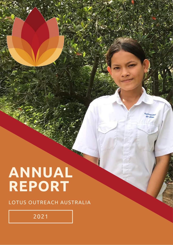# **ANNUAL REPORT**

LOTUS OUTREACH AUSTRALIA

2021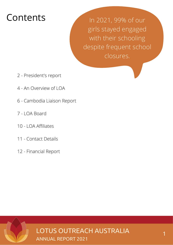# Contents

In 2021, 99% of our girls stayed engaged with their schooling despite frequent school closures.

- 2 President's report
- 4 An Overview of LOA
- 6 Cambodia Liaison Report
- 7 LOA Board
- 10 LOA Affiliates
- 11 Contact Details
- 12 Financial Report

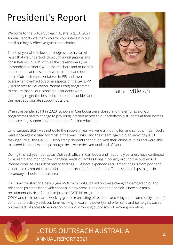# President's Report

Welcome to the Lotus Outreach Australia (LOA) 2021 Annual Report - we thank you for your interest in our small but highly effective grassroots charity.

Those of you who follow our progress each year will recall that we undertook thorough investigations and consultations in 2019 with all the stakeholders (our Cambodian partner CWCC, the teachers and principals and students at the schools we recruit to, and our Lotus Outreach representatives in PP) and then oversaw an overhaul to some aspects of the GATE PP (Girls Access to Education Phnom Penh) programme to ensure that all our scholarship students were continuing to get the best education opportunities and the most appropriate support possible.



Jane Lyttleton

When the pandemic hit in 2020, schools in Cambodia were closed and the emphasis of our programmes had to change to providing internet access to our scholarship students at their homes and providing support and monitoring of online education.

Unfortunately 2021 was not quite the recovery year we were all hoping for, and schools in Cambodia were once again closed for most of the year. CWCC and their team again did an amazing job of making sure all the GATE PP scholarship students continued with their online studies and were able to attend National exams (although these were delayed until end of Dec).

During this last year, our Lotus Outreach office in Cambodia and in-country partners have continued to research and monitor the changing needs of families living in poverty around the outskirts of Phnom Penh. As a result of recent findings, LOA have expanded recruitment of girls from poor and vulnerable communities to different areas around Phnom Penh, offering scholarships to girls in secondary schools in these areas.

2021 saw the start of a new 3 year MOU with CWCC based on these changing demographics and relationships established with schools in new areas. Dang Kor and Sen Sok is now our main recruitment districts for girls to join the GATE PP programme.

CWCC and their local area working groups (consisting of teachers and village and community leaders) continue to actively seek out families living in extreme poverty and offer scholarships to girls based on their lack of access to education or risk of dropping out of school before graduation.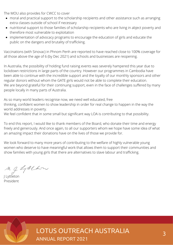The MOU also provides for CWCC to cover

- moral and practical support to the scholarship recipients and other assistance such as arranging extra classes outside of school if necessary
- nutritional support to those families of scholarship recipients who are living in abject poverty and therefore most vulnerable to exploitation
- implementation of advocacy programs to encourage the education of girls and educate the public on the dangers and brutality of trafficking.

Vaccinations (with Sinovac) in Phnom Penh are reported to have reached close to 100% coverage for all those above the age of 6 (by Dec 2021) and schools and businesses are reopening.

In Australia, the possibility of holding fund raising events was severely hampered this year due to lockdown restrictions in large parts of the country. However our programmes in Cambodia have been able to continue with the incredible support and the loyalty of our monthly sponsors and other regular donors without whom the GATE girls would not be able to complete their education. We are beyond grateful for their continuing support, even in the face of challenges suffered by many people locally in many parts of Australia.

As so many world leaders recognise now, we need well educated, free thinking, confident women to show leadership in order for real change to happen in the way the world addresses in poverty.

We feel confident that in some small but significant way LOA is contributing to that possibility.

To end this report, I would like to thank members of the Board, who donate their time and energy freely and generously. And once again, to all our supporters whom we hope have some idea of what an amazing impact their donations have on the lives of those we provide for.

We look forward to many more years of contributing to the welfare of highly vulnerable young women who deserve to have meaningful work that allows them to support their communities and show families with young girls that there are alternatives to slave labour and trafficking.

My LALLow

J Lyttleton President

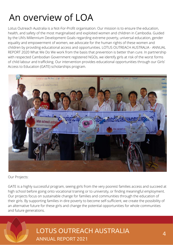# An overview of LOA

Lotus Outreach Australia is a Not-For-Profit organisation. Our mission is to ensure the education, health, and safety of the most marginalised and exploited women and children in Cambodia. Guided by the UN's Millennium Development Goals regarding extreme poverty, universal education, gender equality and empowerment of women, we advocate for the human rights of these women and children by providing educational access and opportunities. LOTUS OUTREACH AUSTRALIA - ANNUAL REPORT 2020 What We Do We work from the basis that prevention is better than cure. In partnership with respected Cambodian Government registered NGOs, we identify girls at risk of the worst forms of child labour and trafficking. Our intervention provides educational opportunities through our Girls' Access to Education (GATE) scholarships program.



Our Projects:

GATE is a highly successful program, seeing girls from the very poorest families access and succeed at high school before going onto vocational training or to university, or finding meaningful employment. Our projects focus on sustainable change for families and communities through the education of their girls. By supporting families in dire poverty to become self-sufficient, we create the possibility of an alternative future for these girls and change the potential opportunities for whole communities and future generations.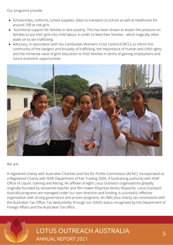Our programs provide:

- Scholarships, uniforms, school supplies, bikes to transport to school as well as healthcare for around 100 at-risk girls.
- Nutritional support for families in dire poverty. This has been shown to lessen the pressure on families to put their girls into child labour in order to feed their families - which tragically often leads on to sex trafficking.
- Advocacy, in association with the Cambodian Women's Crisis Centre (CWCC), to inform the community of the dangers and brutality of trafficking, the importance of human and child rights, and the immense value of girls' education to their families in terms of gaining employment and future economic opportunities



We are:

A registered charity with Australian Charities and Not for Profits Commission (ACNC). Incorporated as a Registered Charity with NSW Department of Fair Trading 2004. A fundraising authority with NSW Office of Liquor, Gaming and Racing. An affiliate of eight Lotus Outreach organisations globally, originally founded by renowned teacher and film-maker Khyentse Norbu Rinpoche. Lotus Outreach Australia programs are managed under our own direction and funding, A successful, effective organisation with strong governance and proven programs. An ABN, plus charity tax concessions with the Australian Tax Office. Tax deductibility through our OAGD status recognised by the Department of Foreign Affairs and the Australian Tax office.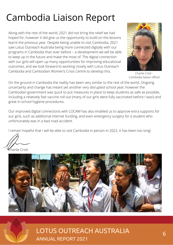# Cambodia Liaison Report

Along with the rest of the world, 2021 did not bring the relief we had hoped for, however it did give us the opportunity to build on the lessons learnt the previous year. Despite being unable to visit Cambodia, 2021 saw Lotus Outreach Australia being more connected digitally with our programs in Cambodia than ever before – a development we will be able to keep up in the future and make the most of. The digital connection with our girls will open up many opportunities for improving educational outcomes, and we look forward to working closely with Lotus Outreach Cambodia and Cambodian Women's Crisis Centre to develop this.



Charlie Cristi - Cambodia liaison officer

On the ground in Cambodia the reality has been very similar to the rest of the world. Ongoing uncertainty and change has meant yet another very disrupted school year, however the Cambodian government was quick to put measures in place to keep students as safe as possible, including a relatively fast vaccine roll out (many of our girls were fully vaccinated before I was!) and great in-school hygiene procedures.

Our improved digital connections with LOCAM has also enabled us to approve extra supports for our girls, such as additional internet funding, and even emergency surgery for a student who unfortunately was in a bad road accident.

I remain hopeful that I will be able to visit Cambodia in person in 2022, it has been too long!

**Sharlie Cristi** 

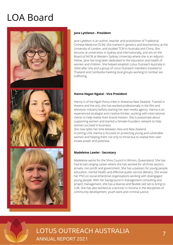# LOA Board



### **Jane Lyttleton - President**

Jane Lyttleton is an author, teacher and practitioner of Traditional Chinese Medicine (TCM). She trained in genetics and biochemistry at the University of London, and studied TCM in Australia and China. She lectures at universities in Sydney and internationally, and sits on the Board of NICM at Western Sydney University where she is an Adjunct Fellow. Jane has long been dedicated to the education and health of women and children. She helped establish Lotus Outreach Australia in 2004 after she and a group of Lotus Outreach members traveled to Thailand and Cambodia meeting local groups working to combat sex trafficking.

### **Hanna Hegan Ngatai - Vice President**

Hanna is of the Ngati Porou tribe in Aotearoa New Zealand. Trained in theatre and the arts, she has worked professionally in the film and television industry before starting her own media agency. Hanna is an experienced strategist and creative thinker, working with international clients to help realise their brand mission. She is passionate about supporting women and started a Female Founders network to help women succeed in business.

She now splits her time between Asia and New Zealand. In joining LOA, Hanna is focused on protecting young and vulnerable women and helping them not only to thrive but to realise their own innate power and potential.

## **Madeleine Lawler - Secretary**

Madeleine works for the Shire Council in Winton, Queensland. She has had broad ranging career where she has worked for all three sectors, private, non-profit and government. She has a passion for young people, education, mental health and effective public service delivery. She wrote her PhD on social enterprise organisations working with disengaged young people. With her background in management consulting and project management, she has a diverse and flexible skill set to bring to LOA. She has also worked as a lecturer in Victoria in the disciplines of community development, youth work and criminal justice.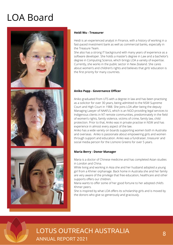# LOA Board



#### **Heidi Wu - Treasurer**

Heidi is an experienced analyst in Finance, with a history of working in a fast-paced investment bank as well as commercial banks, especially in the Treasure Team.

She also has a strong IT background with many years of experience as a software developer. She holds a master's degree in Law and a bachelor's degree in Computing Science, which brings LOA a variety of expertise. Currently, she works in the public sector in New Zealand. She cares about women's and children's rights and believes that girls' education is the first priority for many countries.

### **Aniko Papp - Governance Officer**

Aniko graduated from UTS with a degree in law and has been practising as a solicitor for over 30 years, being admitted to the NSW Supreme Court and High Court in 1988. She joins LOA after being the deputy Managing Lawyer of NAAFLS, which is an NGO providing legal services to Indigenous clients in NT remote communities, predominately in the field of women's rights, family violence, victims of crime, family law, child protection. Prior to that, Aniko was in private practise in NSW and has experience in almost every aspect of the law.

Aniko has a wide variety on boards supporting women both in Australia and overseas. Aniko is passionate about empowering girls and women through support and education. Aniko was a fundraiser, treasurer and social media person for the Lismore Greens for over 5 years.

#### **Maria Berry - Donor Manager**

Maria is a doctor of Chinese medicine and has completed Asian studies in London and China.

While living and working in Asia she and her husband adopted a young girl from a Khmer orphanage. Back home in Australia she and her family are very aware of the privilege that free education, healthcare and other supports offers our children.

Maria wants to offer some of her good fortune to her adopted child's Khmer peers.

She is inspired by what LOA offers its scholarship girls and is moved by the donors who give so generously and graciously.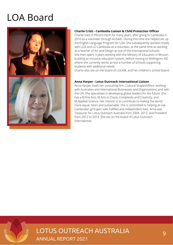# LOA Board



### **Charlie Cristi - Cambodia Liaison & Child Protection Officer**

Charlie lived in Phnom Penh for many years, after going to Cambodia in 2010 as a volunteer through AUSAID. During this time she helped set up the English Language Program for LOA. She subsequently worked closely with LOA and LO Cambodia as a volunteer, at the same time as working as a teacher of Art and Design at one of the International Schools. She then spent 3 years working with the Ministry of Education in Bhutan, building an inclusive education system, before moving to Wellington, NZ, where she currently works across a number of schools supporting students with additional needs.

Charlie also sits on the board of LOCAM, and her children's school board.

### **Anna Harper - Lotus Outreach International Liaison**

Anna Harper leads her consulting firm, Cultural Shapeshifters, working with Australian and International Businesses and Organisations, and with the UN. She specialises in developing global leaders for the future. She has a B.Fine Arts, M.Arts in Chaos, Complexity and Creativity, and M.Applied Science. Her mission is to contribute to making the world more equal, fairer and sustainable. She is committed to helping at-risk Cambodian girls gain safe, fulfilled and independent lives. Anna was Treasurer for Lotus Outreach Australia from 2004- 2012, and President from 2012 to 2014. She sits on the board of Lotus Outreach International.

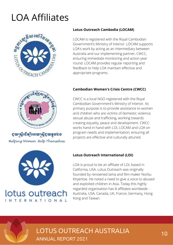# LOA Affiliates



# **Lotus Outreach Cambodia (LOCAM)**

LOCAM is registered with the Royal Cambodian Government's Ministry of Interior. LOCAM supports LOA's work by acting as an intermediary between Australia and our implementing partner, CWCC, ensuring immediate monitoring and action year round. LOCAM provides regular reporting and feedback to help LOA maintain effective and appropriate programs.

# **Cambodian Women's Crisis Centre (CWCC)**

CWCC is a local NGO registered with the Royal Cambodian Government's Ministry of Interior. Its primary purpose is to provide assistance to women and children who are victims of domestic violence, sexual abuse and trafficking, working towards creating equality, peace and development. CWCC works hand in hand with LOI, LOCAM and LOA on program needs and implementation, ensuring all projects are effective and culturally attuned.



**ខូយស្រី្តខើម្បីអោយស្រី្តខូយខ្លួន**ឯខ Helping Women Help Themselves



# **Lotus Outreach International (LOI)**

LOA is proud to be an affiliate of LOI, based in California, USA. Lotus Outreach was originally founded by renowned lama and film-maker Norbu Khyentse. He noted a need to give a voice to abused and exploited children in Asia. Today this highly regarded organisation has 8 affiliates worldwide - Australia, USA, Canada, UK, France, Germany, Hong Kong and Taiwan.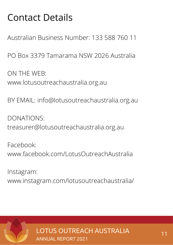# Contact Details

Australian Business Number: 133 588 760 11

PO Box 3379 Tamarama NSW 2026 Australia

ON THE WEB: www.lotusoutreachaustralia.org.au

BY EMAIL: info@lotusoutreachaustralia.org.au

DONATIONS: treasurer@lotusoutreachaustralia.org.au

Facebook: www.facebook.com/LotusOutreachAustralia

Instagram: www.instagram.com/lotusoutreachaustralia/

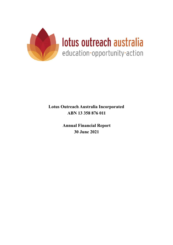

**Annual Financial Report 30 June 2021**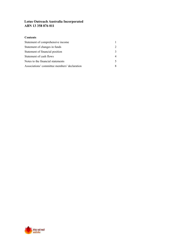## **Contents**

| Statement of comprehensive income            |  |
|----------------------------------------------|--|
| Statement of changes in funds                |  |
| Statement of financial position              |  |
| Statement of cash flows                      |  |
| Notes to the financial statements            |  |
| Associations' committee members' declaration |  |

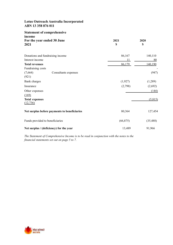### **Statement of comprehensive income For the year ended 30 June 2021**

| 2021 | 2020 |
|------|------|
| \$   | \$   |

| Donations and fundraising income             | 86,167    | 140,110   |
|----------------------------------------------|-----------|-----------|
| Interest income                              | 11        | 80        |
| <b>Total revenues</b>                        | 86,179    | 140,190   |
| Fundraising costs                            |           |           |
| (7,664)<br>Consultants expenses              |           | (947)     |
| (921)                                        |           |           |
| Bank charges                                 | (1,927)   | (1,289)   |
| Insurance                                    | (2,798)   | (2,692)   |
| Other expenses                               |           | (144)     |
| (169)                                        |           |           |
| <b>Total expenses</b>                        |           | (5, 815)  |
| (12, 736)                                    |           |           |
| Net surplus before payments to beneficiaries | 80,364    | 127,454   |
| Funds provided to beneficiaries              | (66, 875) | (35, 488) |
| Net surplus / (deficiency) for the year      | 13,489    | 91,966    |

*The Statement of Comprehensive Income is to be read in conjunction with the notes to the financial statements set out on page 5 to 7.*

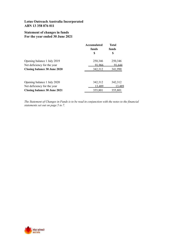## **Statement of changes in funds For the year ended 30 June 2021**

|                                     | Accumulated<br>funds | <b>Total</b><br>funds |
|-------------------------------------|----------------------|-----------------------|
|                                     | \$                   | S                     |
| Opening balance 1 July 2019         | 250,346              | 250,346               |
| Net deficiency for the year         | 91.966               | 91.644                |
| <b>Closing balance 30 June 2020</b> | 342,312              | 341,990               |
| Opening balance 1 July 2020         | 342,312              | 342,312               |
| Net deficiency for the year         | 13,489               | 13,489                |
| <b>Closing balance 30 June 2021</b> | 355,801              | 355,801               |

*The Statement of Changes in Funds is to be read in conjunction with the notes to the financial statements set out on page 5 to 7.*

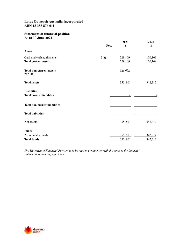## **Statement of financial position As at 30 June 2021**

|                                            | <b>Note</b> | 2021<br>\$ | 2020<br>\$ |
|--------------------------------------------|-------------|------------|------------|
| <b>Assets</b>                              |             |            |            |
| Cash and cash equivalents                  | 3(a)        | 229,109    | 100,109    |
| <b>Total current assets</b>                |             | 229,109    | 100,109    |
| <b>Total non-current assets</b><br>242,203 |             | 126,692    |            |
| <b>Total assets</b>                        |             | 355, 801   | 342,312    |
| <b>Liabilities</b>                         |             |            |            |
| <b>Total current liabilities</b>           |             |            |            |
| <b>Total non-current liabilities</b>       |             |            |            |
| <b>Total liabilities</b>                   |             |            |            |
| Net assets                                 |             | 355, 801   | 342,312    |
| <b>Funds</b>                               |             |            |            |
| Accumulated funds                          |             | 355, 801   | 342,312    |
| <b>Total funds</b>                         |             | 355, 801   | 342,312    |

*The Statement of Financial Position is to be read in conjunction with the notes to the financial statements set out on page 5 to 7.*

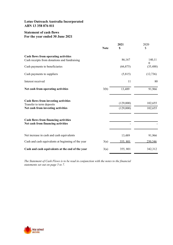## **Statement of cash flows For the year ended 30 June 2021**

|                                                                                      | 2021        |           | 2020                  |
|--------------------------------------------------------------------------------------|-------------|-----------|-----------------------|
|                                                                                      | <b>Note</b> | \$        | \$                    |
| Cash flows from operating activities<br>Cash receipts from donations and fundraising |             | 86,167    | 140,11                |
| Cash payments to beneficiaries                                                       |             | (66, 875) | $\theta$<br>(35, 488) |
| Cash payments to suppliers                                                           |             | (5,815)   | (12, 736)             |
| Interest received                                                                    |             | 11        | 80                    |
| Net cash from operating activities                                                   | 3(b)        | 13,489    | 91,966                |
| Cash flows from investing activities<br>Transfer to term deposits                    |             | (129,000) | 102,655               |
| Net cash from investing activities                                                   |             | (129,000) | 102,655               |
| <b>Cash flows from financing activities</b><br>Net cash from financing activities    |             |           |                       |
|                                                                                      |             |           |                       |
| Net increase in cash and cash equivalents                                            |             | 13,489    | 91,966                |
| Cash and cash equivalents at beginning of the year                                   | 3(a)        | 355, 801  | 250,346               |
| Cash and cash equivalents at the end of the year                                     | 3(a)        | 355, 801  | 342,312               |

*The Statement of Cash Flows is to be read in conjunction with the notes to the financial statements set out on page 5 to 7.*

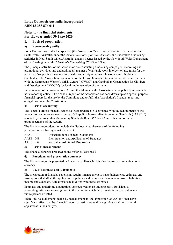## **Notes to the financial statements For the year ended 30 June 2020**

### **1. Basis of preparation**

### **a) Non-reporting entity**

Lotus Outreach Australia Incorporated (the "Association") is an association incorporated in New South Wales, Australia, under the *Associations Incorporation Act 2009* and undertakes fundraising activities in New South Wales, Australia, under a licence issued by the New South Wales Department of Fair Trading under the *Charitable Fundraising (NSW) Act 1991*.

The principal activities of the Association are conducting fundraising campaigns, marketing and promotional activities and undertaking all manner of charitable work in order to raise funds for the purpose of supporting the education, health and safety of vulnerable women and children in Cambodia. The Association is a member of the Lotus Outreach International network and partners with the Cambodian Women's Crisis Centre ("CWCC") and Cambodian Organization for Children and Development ("COCD") for local implementation of programs.

In the opinion of the Associations' Committee Members, the Association is not publicly accountable nor a reporting entity. The financial report of the Association has been drawn up as a special purpose financial report for the use by the Committee and to fulfil the Association's financial reporting obligations under the Constitution.

#### **b) Basis of accounting**

The special purpose financial report has been prepared in accordance with the requirements of the recognition and measurement aspects of all applicable Australian Accounting Standards ("AASBs") adopted by the Australian Accounting Standards Board ("AASB") and other authoritative pronouncements of the AASB.

The financial report does not include the disclosure requirements of the following pronouncements having a material effect:

| AASB 101         | Presentation of Financial Statements        |
|------------------|---------------------------------------------|
| <b>AASB 1048</b> | Interpretation and Application of Standards |
| AASB 1054        | <b>Australian Additional Disclosures</b>    |

#### **c) Basis of measurement**

The financial report is prepared on the historical cost basis.

#### **d) Functional and presentation currency**

The financial report is presented in Australian dollars which is also the Association's functional currency.

#### **e) Use of estimates and judgements**

The preparation of financial statements requires management to make judgements, estimates and assumptions that affect the application of policies and the reported amounts of assets, liabilities, income and expenses. Actual results may differ from these estimates.

Estimates and underlying assumptions are reviewed on an ongoing basis. Revisions to accounting estimates are recognised in the period in which the estimate is revised and in any future periods affected.

There are no judgements made by management in the application of AASB's that have significant effect on the financial report or estimates with a significant risk of material adjustment in the next year.

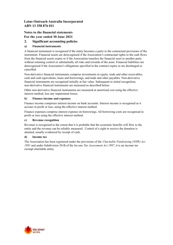# Notes to the financial statements For the year ended 30 June 2021

### **2. Significant accounting policies**

### **a) Financial instruments**

A financial instrument is recognised if the entity becomes a party to the contractual provisions of the instrument. Financial assets are derecognised if the Association's contractual rights to the cash flows from the financial assets expire or if the Association transfers the financial asset to another party without retaining control or substantially all risks and rewards of the asset. Financial liabilities are derecognised if the Association's obligations specified in the contract expire or are discharged or cancelled.

Non-derivative financial instruments comprise investments in equity, trade and other receivables, cash and cash equivalents, loans and borrowings, and trade and other payables. Non-derivative financial instruments are recognised initially at fair value. Subsequent to initial recognition, non-derivative financial instruments are measured as described below.

Other non-derivative financial instruments are measured at amortised cost using the effective interest method, less any impairment losses.

#### **b) Finance income and expenses**

Finance income comprises interest income on bank accounts. Interest income is recognised as it accrues in profit or loss, using the effective interest method.

Finance expenses comprise interest expense on borrowings. All borrowing costs are recognised in profit or loss using the effective interest method.

#### **c) Revenue recognition**

Revenue is recognised to the extent that it is probable that the economic benefits will flow to the entity and the revenue can be reliably measured. Control of a right to receive the donation is attained, usually evidenced by receipt of cash.

#### **d) Income tax**

The Association has been registered under the provisions of the *Charitable Fundraising (NSW) Act 1991* and under Subdivision 50-B of the *Income Tax Assessment Act 1997*, it is an income tax exempt charitable entity.

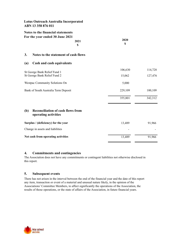|                                                              | Lotus Outreach Australia Incorporated<br>ABN 13 358 876 011                        |            |         |
|--------------------------------------------------------------|------------------------------------------------------------------------------------|------------|---------|
|                                                              | Notes to the financial statements<br>For the year ended 30 June 2021<br>2021<br>\$ | 2020<br>\$ |         |
| 3.                                                           | Notes to the statement of cash flows                                               |            |         |
| (a)                                                          | Cash and cash equivalents                                                          |            |         |
| St George Bank Relief Fund 1<br>St George Bank Relief Fund 2 |                                                                                    | 106,630    | 114,728 |
|                                                              |                                                                                    | 15,062     | 127,476 |
|                                                              | Westpac Community Solutions On                                                     | 5,000      |         |
| Bank of South Australia Term Deposit                         |                                                                                    | 229,109    | 100,109 |
|                                                              |                                                                                    | 355,801    | 342,312 |
| (b)                                                          | <b>Reconciliation of cash flows from</b><br>operating activities                   |            |         |
|                                                              | Surplus / (deficiency) for the year                                                | 13,489     | 91,966  |
|                                                              | Change in assets and liabilities                                                   |            |         |
|                                                              | Net cash from operating activities                                                 | 13,489     | 91,966  |

#### **4. Commitments and contingencies**

The Association does not have any commitments or contingent liabilities not otherwise disclosed in this report.

### **5. Subsequent events**

There has not arisen in the interval between the end of the financial year and the date of this report any item, transaction or event of a material and unusual nature likely, in the opinion of the Associations' Committee Members, to affect significantly the operations of the Association, the results of those operations, or the state of affairs of the Association, in future financial years.